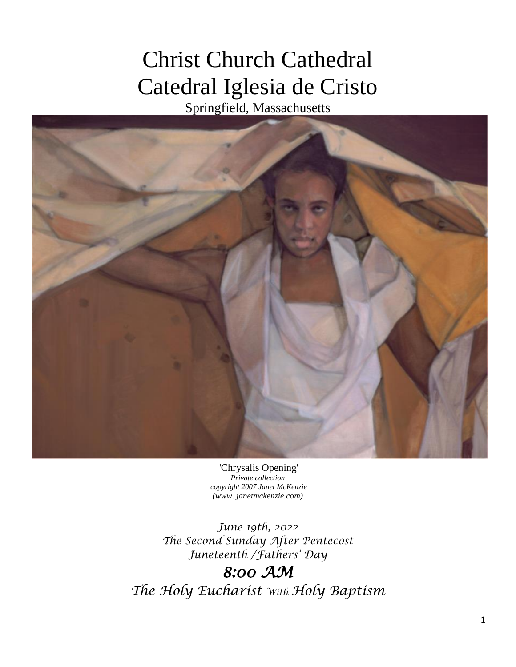# Christ Church Cathedral Catedral Iglesia de Cristo

Springfield, Massachusetts



'Chrysalis Opening' *Private collection copyright 2007 Janet McKenzie (www. janetmckenzie.com)* 

*June 19th, 2022 The Second Sunday After Pentecost Juneteenth /Fathers' Day*

*8:00 AM The Holy Eucharist With Holy Baptism*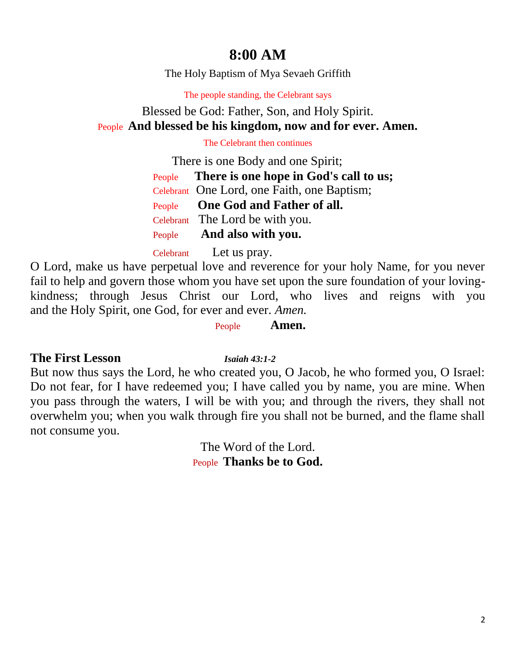# **8:00 AM**

The Holy Baptism of Mya Sevaeh Griffith

The people standing, the Celebrant says

# Blessed be God: Father, Son, and Holy Spirit. People **And blessed be his kingdom, now and for ever. Amen.**

The Celebrant then continues

 There is one Body and one Spirit; People **There is one hope in God's call to us;** Celebrant One Lord, one Faith, one Baptism; People **One God and Father of all.** Celebrant The Lord be with you. People **And also with you.**

Celebrant Let us pray.

O Lord, make us have perpetual love and reverence for your holy Name, for you never fail to help and govern those whom you have set upon the sure foundation of your lovingkindness; through Jesus Christ our Lord, who lives and reigns with you and the Holy Spirit, one God, for ever and ever. *Amen.*

People **Amen.**

**The First Lesson** *Isaiah 43:1-2*

But now thus says the Lord, he who created you, O Jacob, he who formed you, O Israel: Do not fear, for I have redeemed you; I have called you by name, you are mine. When you pass through the waters, I will be with you; and through the rivers, they shall not overwhelm you; when you walk through fire you shall not be burned, and the flame shall not consume you.

> The Word of the Lord. People **Thanks be to God.**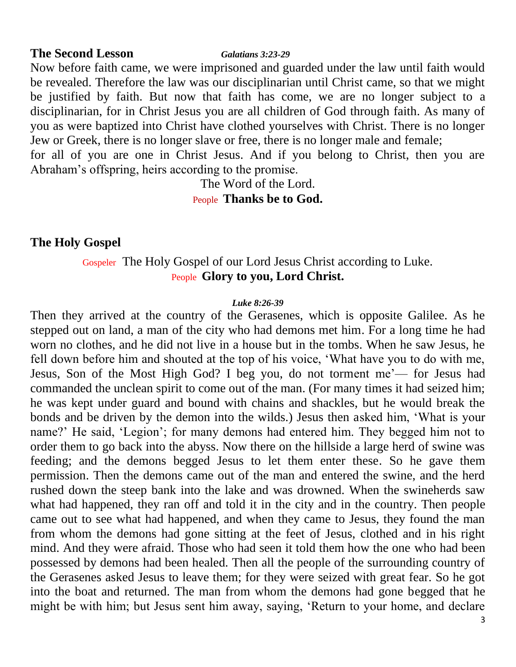### **The Second Lesson** *Galatians 3:23-29*

Now before faith came, we were imprisoned and guarded under the law until faith would be revealed. Therefore the law was our disciplinarian until Christ came, so that we might be justified by faith. But now that faith has come, we are no longer subject to a disciplinarian, for in Christ Jesus you are all children of God through faith. As many of you as were baptized into Christ have clothed yourselves with Christ. There is no longer Jew or Greek, there is no longer slave or free, there is no longer male and female;

for all of you are one in Christ Jesus. And if you belong to Christ, then you are Abraham's offspring, heirs according to the promise.

> The Word of the Lord. People **Thanks be to God.**

### **The Holy Gospel**

# Gospeler The Holy Gospel of our Lord Jesus Christ according to Luke. People **Glory to you, Lord Christ.**

#### *Luke 8:26-39*

Then they arrived at the country of the Gerasenes, which is opposite Galilee. As he stepped out on land, a man of the city who had demons met him. For a long time he had worn no clothes, and he did not live in a house but in the tombs. When he saw Jesus, he fell down before him and shouted at the top of his voice, 'What have you to do with me, Jesus, Son of the Most High God? I beg you, do not torment me'— for Jesus had commanded the unclean spirit to come out of the man. (For many times it had seized him; he was kept under guard and bound with chains and shackles, but he would break the bonds and be driven by the demon into the wilds.) Jesus then asked him, 'What is your name?' He said, 'Legion'; for many demons had entered him. They begged him not to order them to go back into the abyss. Now there on the hillside a large herd of swine was feeding; and the demons begged Jesus to let them enter these. So he gave them permission. Then the demons came out of the man and entered the swine, and the herd rushed down the steep bank into the lake and was drowned. When the swineherds saw what had happened, they ran off and told it in the city and in the country. Then people came out to see what had happened, and when they came to Jesus, they found the man from whom the demons had gone sitting at the feet of Jesus, clothed and in his right mind. And they were afraid. Those who had seen it told them how the one who had been possessed by demons had been healed. Then all the people of the surrounding country of the Gerasenes asked Jesus to leave them; for they were seized with great fear. So he got into the boat and returned. The man from whom the demons had gone begged that he might be with him; but Jesus sent him away, saying, 'Return to your home, and declare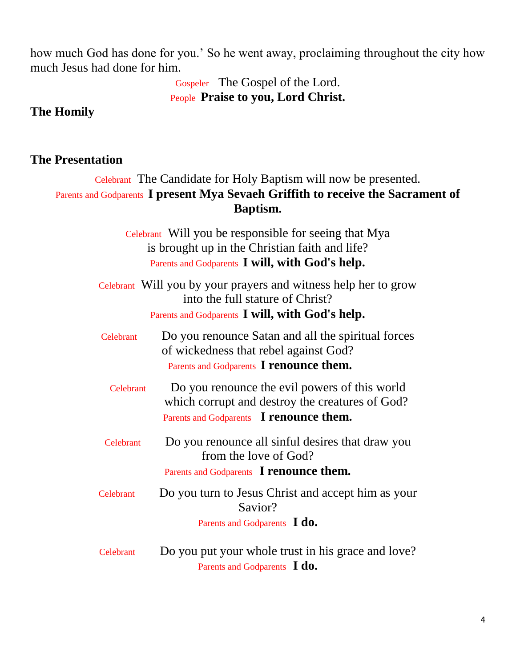how much God has done for you.' So he went away, proclaiming throughout the city how much Jesus had done for him.

> Gospeler The Gospel of the Lord. People **Praise to you, Lord Christ.**

# **The Homily**

### **The Presentation**

# Celebrant The Candidate for Holy Baptism will now be presented. Parents and Godparents **I present Mya Sevaeh Griffith to receive the Sacrament of Baptism.**

|           | Celebrant Will you be responsible for seeing that Mya<br>is brought up in the Christian faith and life?<br>Parents and Godparents I will, with God's help. |
|-----------|------------------------------------------------------------------------------------------------------------------------------------------------------------|
|           | Celebrant Will you by your prayers and witness help her to grow<br>into the full stature of Christ?<br>Parents and Godparents I will, with God's help.     |
| Celebrant | Do you renounce Satan and all the spiritual forces<br>of wickedness that rebel against God?<br>Parents and Godparents I renounce them.                     |
| Celebrant | Do you renounce the evil powers of this world<br>which corrupt and destroy the creatures of God?<br>Parents and Godparents I renounce them.                |
| Celebrant | Do you renounce all sinful desires that draw you<br>from the love of God?<br>Parents and Godparents I renounce them.                                       |
| Celebrant | Do you turn to Jesus Christ and accept him as your<br>Savior?<br>Parents and Godparents I do.                                                              |
| Celebrant | Do you put your whole trust in his grace and love?<br>Parents and Godparents I do.                                                                         |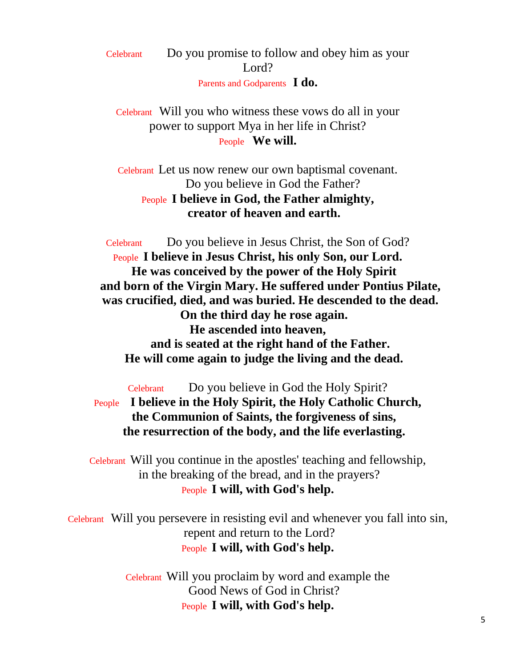# Celebrant Do you promise to follow and obey him as your Lord?

#### Parents and Godparents **I do.**

Celebrant Will you who witness these vows do all in your power to support Mya in her life in Christ? People **We will.**

Celebrant Let us now renew our own baptismal covenant. Do you believe in God the Father? People **I believe in God, the Father almighty, creator of heaven and earth.**

Celebrant Do you believe in Jesus Christ, the Son of God? People **I believe in Jesus Christ, his only Son, our Lord. He was conceived by the power of the Holy Spirit and born of the Virgin Mary. He suffered under Pontius Pilate, was crucified, died, and was buried. He descended to the dead. On the third day he rose again. He ascended into heaven, and is seated at the right hand of the Father. He will come again to judge the living and the dead.**

Celebrant Do you believe in God the Holy Spirit? People **I believe in the Holy Spirit, the Holy Catholic Church, the Communion of Saints, the forgiveness of sins, the resurrection of the body, and the life everlasting.**

Celebrant Will you continue in the apostles' teaching and fellowship, in the breaking of the bread, and in the prayers? People **I will, with God's help.**

Celebrant Will you persevere in resisting evil and whenever you fall into sin, repent and return to the Lord? People **I will, with God's help.**

> Celebrant Will you proclaim by word and example the Good News of God in Christ? People **I will, with God's help.**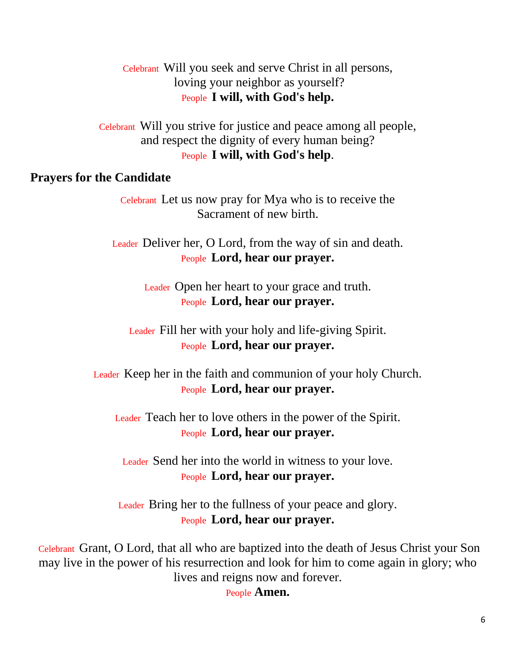Celebrant Will you seek and serve Christ in all persons, loving your neighbor as yourself? People **I will, with God's help.**

Celebrant Will you strive for justice and peace among all people, and respect the dignity of every human being? People **I will, with God's help**.

#### **Prayers for the Candidate**

Celebrant Let us now pray for Mya who is to receive the Sacrament of new birth.

Leader Deliver her, O Lord, from the way of sin and death. People **Lord, hear our prayer.**

> Leader Open her heart to your grace and truth. People **Lord, hear our prayer.**

Leader Fill her with your holy and life-giving Spirit. People **Lord, hear our prayer.**

Leader Keep her in the faith and communion of your holy Church. People **Lord, hear our prayer.**

Leader Teach her to love others in the power of the Spirit. People **Lord, hear our prayer.**

Leader Send her into the world in witness to your love. People **Lord, hear our prayer.**

Leader Bring her to the fullness of your peace and glory. People **Lord, hear our prayer.**

Celebrant Grant, O Lord, that all who are baptized into the death of Jesus Christ your Son may live in the power of his resurrection and look for him to come again in glory; who lives and reigns now and forever.

People **Amen.**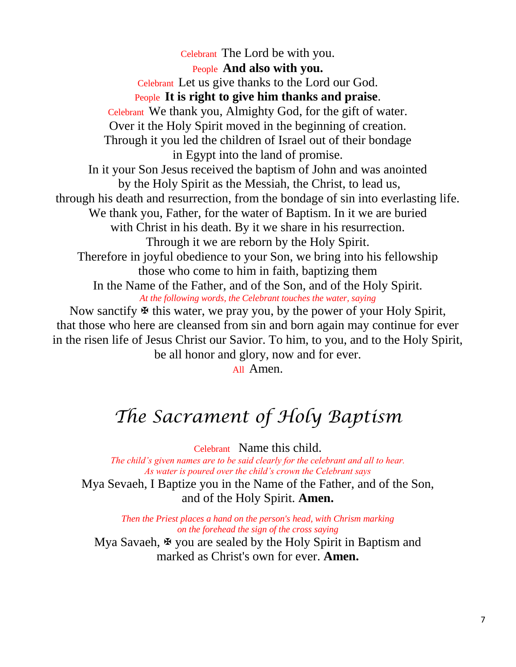Celebrant The Lord be with you. People **And also with you.** Celebrant Let us give thanks to the Lord our God. People **It is right to give him thanks and praise**. Celebrant We thank you, Almighty God, for the gift of water. Over it the Holy Spirit moved in the beginning of creation. Through it you led the children of Israel out of their bondage in Egypt into the land of promise. In it your Son Jesus received the baptism of John and was anointed by the Holy Spirit as the Messiah, the Christ, to lead us, through his death and resurrection, from the bondage of sin into everlasting life. We thank you, Father, for the water of Baptism. In it we are buried with Christ in his death. By it we share in his resurrection. Through it we are reborn by the Holy Spirit. Therefore in joyful obedience to your Son, we bring into his fellowship those who come to him in faith, baptizing them In the Name of the Father, and of the Son, and of the Holy Spirit. *At the following words, the Celebrant touches the water, saying* Now sanctify  $\mathcal F$  this water, we pray you, by the power of your Holy Spirit, that those who here are cleansed from sin and born again may continue for ever in the risen life of Jesus Christ our Savior. To him, to you, and to the Holy Spirit, be all honor and glory, now and for ever. All Amen.

# *The Sacrament of Holy Baptism*

Celebrant Name this child.

*The child's given names are to be said clearly for the celebrant and all to hear. As water is poured over the child's crown the Celebrant says* 

Mya Sevaeh, I Baptize you in the Name of the Father, and of the Son, and of the Holy Spirit. **Amen.**

> *Then the Priest places a hand on the person's head, with Chrism marking on the forehead the sign of the cross saying*

Mya Savaeh,  $\mathcal{F}$  you are sealed by the Holy Spirit in Baptism and marked as Christ's own for ever. **Amen.**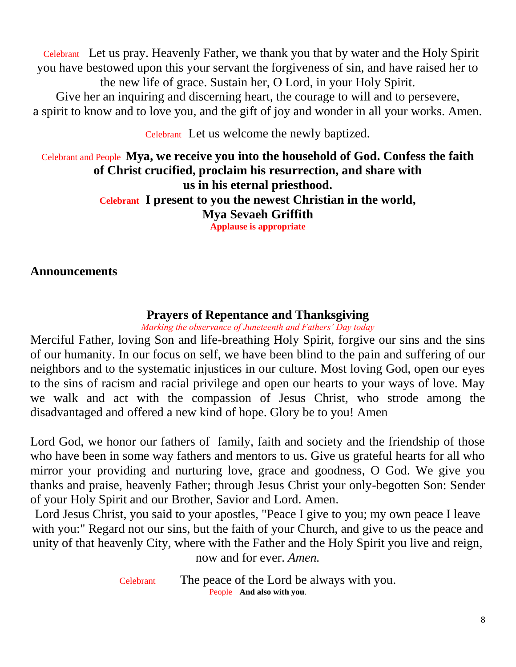Celebrant Let us pray. Heavenly Father, we thank you that by water and the Holy Spirit you have bestowed upon this your servant the forgiveness of sin, and have raised her to the new life of grace. Sustain her, O Lord, in your Holy Spirit. Give her an inquiring and discerning heart, the courage to will and to persevere, a spirit to know and to love you, and the gift of joy and wonder in all your works. Amen.

Celebrant Let us welcome the newly baptized.

Celebrant and People **Mya, we receive you into the household of God. Confess the faith of Christ crucified, proclaim his resurrection, and share with us in his eternal priesthood. Celebrant I present to you the newest Christian in the world, Mya Sevaeh Griffith Applause is appropriate**

**Announcements**

# **Prayers of Repentance and Thanksgiving**

*Marking the observance of Juneteenth and Fathers' Day today*

Merciful Father, loving Son and life-breathing Holy Spirit, forgive our sins and the sins of our humanity. In our focus on self, we have been blind to the pain and suffering of our neighbors and to the systematic injustices in our culture. Most loving God, open our eyes to the sins of racism and racial privilege and open our hearts to your ways of love. May we walk and act with the compassion of Jesus Christ, who strode among the disadvantaged and offered a new kind of hope. Glory be to you! Amen

Lord God, we honor our fathers of family, faith and society and the friendship of those who have been in some way fathers and mentors to us. Give us grateful hearts for all who mirror your providing and nurturing love, grace and goodness, O God. We give you thanks and praise, heavenly Father; through Jesus Christ your only-begotten Son: Sender of your Holy Spirit and our Brother, Savior and Lord. Amen.

Lord Jesus Christ, you said to your apostles, "Peace I give to you; my own peace I leave with you:" Regard not our sins, but the faith of your Church, and give to us the peace and unity of that heavenly City, where with the Father and the Holy Spirit you live and reign, now and for ever. *Amen.*

> Celebrant The peace of the Lord be always with you. People **And also with you**.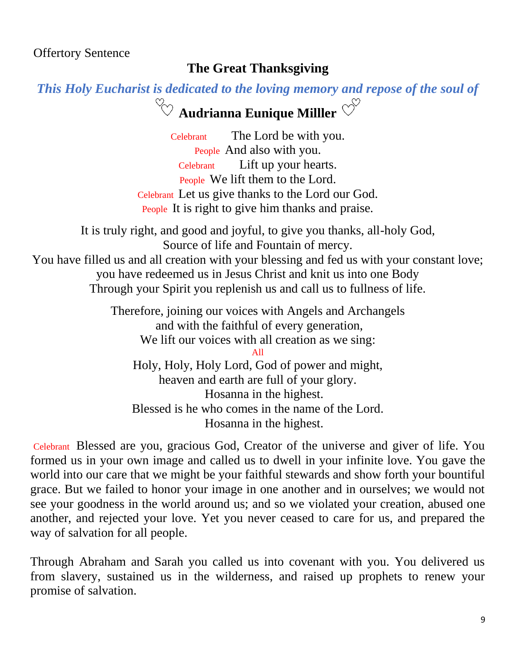# **The Great Thanksgiving**

*This Holy Eucharist is dedicated to the loving memory and repose of the soul of*  **Audrianna Eunique Milller**

Celebrant The Lord be with you. People And also with you. Celebrant Lift up your hearts. People We lift them to the Lord. Celebrant Let us give thanks to the Lord our God. People It is right to give him thanks and praise.

It is truly right, and good and joyful, to give you thanks, all-holy God, Source of life and Fountain of mercy.

You have filled us and all creation with your blessing and fed us with your constant love; you have redeemed us in Jesus Christ and knit us into one Body Through your Spirit you replenish us and call us to fullness of life.

> Therefore, joining our voices with Angels and Archangels and with the faithful of every generation, We lift our voices with all creation as we sing:

All Holy, Holy, Holy Lord, God of power and might, heaven and earth are full of your glory. Hosanna in the highest. Blessed is he who comes in the name of the Lord. Hosanna in the highest.

Celebrant Blessed are you, gracious God, Creator of the universe and giver of life. You formed us in your own image and called us to dwell in your infinite love. You gave the world into our care that we might be your faithful stewards and show forth your bountiful grace. But we failed to honor your image in one another and in ourselves; we would not see your goodness in the world around us; and so we violated your creation, abused one another, and rejected your love. Yet you never ceased to care for us, and prepared the way of salvation for all people.

Through Abraham and Sarah you called us into covenant with you. You delivered us from slavery, sustained us in the wilderness, and raised up prophets to renew your promise of salvation.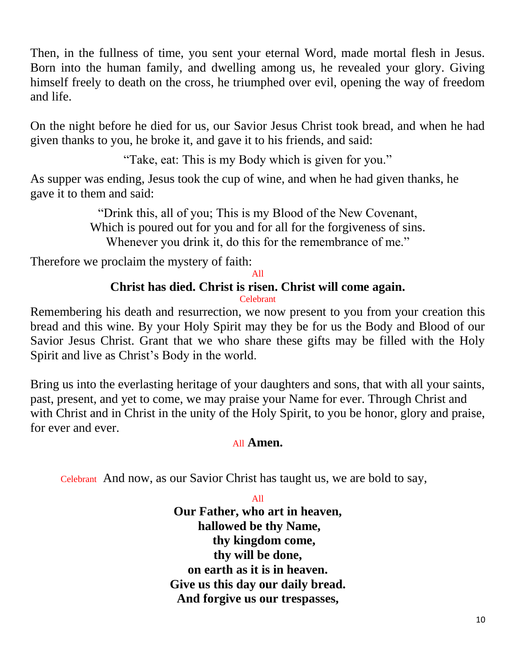Then, in the fullness of time, you sent your eternal Word, made mortal flesh in Jesus. Born into the human family, and dwelling among us, he revealed your glory. Giving himself freely to death on the cross, he triumphed over evil, opening the way of freedom and life.

On the night before he died for us, our Savior Jesus Christ took bread, and when he had given thanks to you, he broke it, and gave it to his friends, and said:

"Take, eat: This is my Body which is given for you."

As supper was ending, Jesus took the cup of wine, and when he had given thanks, he gave it to them and said:

> "Drink this, all of you; This is my Blood of the New Covenant, Which is poured out for you and for all for the forgiveness of sins. Whenever you drink it, do this for the remembrance of me."

Therefore we proclaim the mystery of faith:

All

# **Christ has died. Christ is risen. Christ will come again.**

Celebrant

Remembering his death and resurrection, we now present to you from your creation this bread and this wine. By your Holy Spirit may they be for us the Body and Blood of our Savior Jesus Christ. Grant that we who share these gifts may be filled with the Holy Spirit and live as Christ's Body in the world.

Bring us into the everlasting heritage of your daughters and sons, that with all your saints, past, present, and yet to come, we may praise your Name for ever. Through Christ and with Christ and in Christ in the unity of the Holy Spirit, to you be honor, glory and praise, for ever and ever.

### All **Amen.**

Celebrant And now, as our Savior Christ has taught us, we are bold to say,

All

**Our Father, who art in heaven, hallowed be thy Name, thy kingdom come, thy will be done, on earth as it is in heaven. Give us this day our daily bread. And forgive us our trespasses,**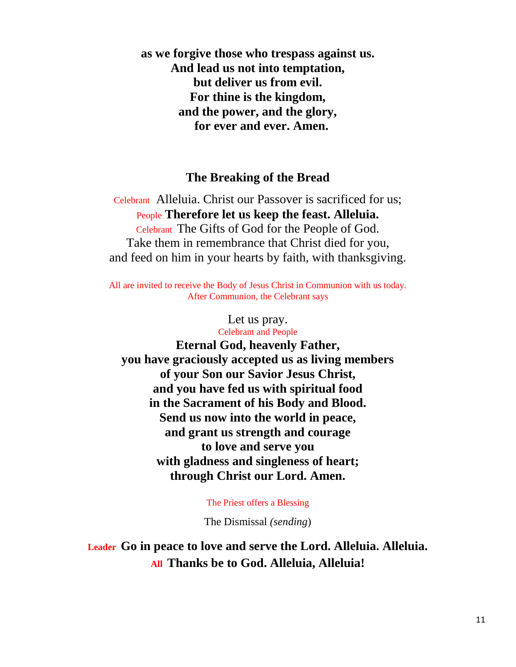**as we forgive those who trespass against us. And lead us not into temptation, but deliver us from evil. For thine is the kingdom, and the power, and the glory, for ever and ever. Amen.**

### **The Breaking of the Bread**

Celebrant Alleluia. Christ our Passover is sacrificed for us; People **Therefore let us keep the feast. Alleluia.** Celebrant The Gifts of God for the People of God. Take them in remembrance that Christ died for you, and feed on him in your hearts by faith, with thanksgiving.

All are invited to receive the Body of Jesus Christ in Communion with us today. After Communion, the Celebrant says

Let us pray. Celebrant and People **Eternal God, heavenly Father, you have graciously accepted us as living members of your Son our Savior Jesus Christ, and you have fed us with spiritual food in the Sacrament of his Body and Blood. Send us now into the world in peace, and grant us strength and courage to love and serve you with gladness and singleness of heart; through Christ our Lord. Amen.**

The Priest offers a Blessing

The Dismissal *(sending*)

**Leader Go in peace to love and serve the Lord. Alleluia. Alleluia. All Thanks be to God. Alleluia, Alleluia!**